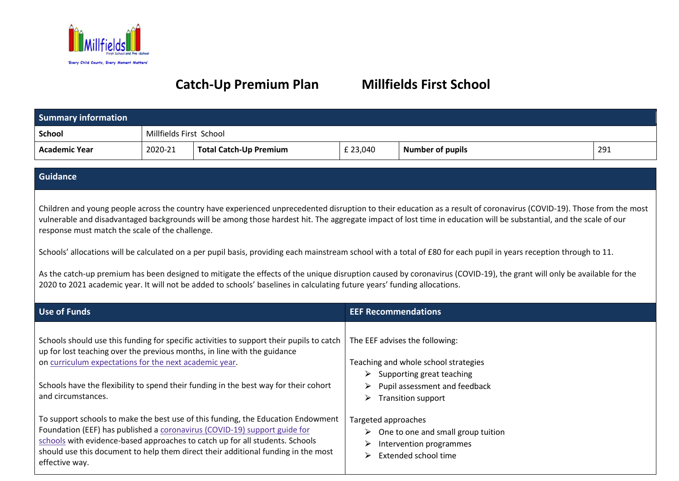

## **Catch-Up Premium Plan Millfields First School**

| <b>Summary information</b> |                         |                               |          |                         |     |
|----------------------------|-------------------------|-------------------------------|----------|-------------------------|-----|
| <b>School</b>              | Millfields First School |                               |          |                         |     |
| <b>Academic Year</b>       | 2020-21                 | <b>Total Catch-Up Premium</b> | £ 23,040 | <b>Number of pupils</b> | 291 |

## **Guidance**

Children and young people across the country have experienced unprecedented disruption to their education as a result of coronavirus (COVID-19). Those from the most vulnerable and disadvantaged backgrounds will be among those hardest hit. The aggregate impact of lost time in education will be substantial, and the scale of our response must match the scale of the challenge.

Schools' allocations will be calculated on a per pupil basis, providing each mainstream school with a total of £80 for each pupil in years reception through to 11.

As the catch-up premium has been designed to mitigate the effects of the unique disruption caused by coronavirus (COVID-19), the grant will only be available for the 2020 to 2021 academic year. It will not be added to schools' baselines in calculating future years' funding allocations.

| Use of Funds                                                                                                                                                                                                                                                                                                                                         | <b>EEF Recommendations</b>                                                                                                                                                                      |
|------------------------------------------------------------------------------------------------------------------------------------------------------------------------------------------------------------------------------------------------------------------------------------------------------------------------------------------------------|-------------------------------------------------------------------------------------------------------------------------------------------------------------------------------------------------|
| Schools should use this funding for specific activities to support their pupils to catch<br>up for lost teaching over the previous months, in line with the guidance<br>on curriculum expectations for the next academic year.<br>Schools have the flexibility to spend their funding in the best way for their cohort<br>and circumstances.         | The EEF advises the following:<br>Teaching and whole school strategies<br>Supporting great teaching<br>$\triangleright$<br>Pupil assessment and feedback<br>➤<br><b>Transition support</b><br>➤ |
| To support schools to make the best use of this funding, the Education Endowment<br>Foundation (EEF) has published a coronavirus (COVID-19) support guide for<br>schools with evidence-based approaches to catch up for all students. Schools<br>should use this document to help them direct their additional funding in the most<br>effective way. | Targeted approaches<br>$\triangleright$ One to one and small group tuition<br>Intervention programmes<br>➤<br>Extended school time<br>⋗                                                         |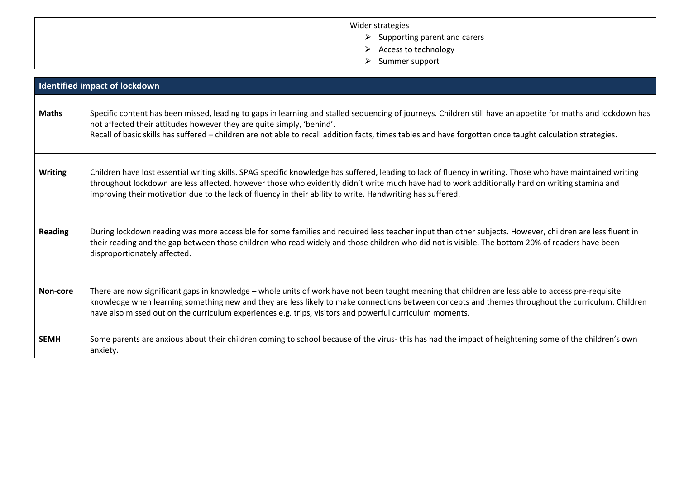| Wider strategies                              |
|-----------------------------------------------|
| $\triangleright$ Supporting parent and carers |
| Access to technology<br>➤                     |
| Summer support<br>↘                           |

|                | <b>Identified impact of lockdown</b>                                                                                                                                                                                                                                                                                                                                                                                        |
|----------------|-----------------------------------------------------------------------------------------------------------------------------------------------------------------------------------------------------------------------------------------------------------------------------------------------------------------------------------------------------------------------------------------------------------------------------|
| <b>Maths</b>   | Specific content has been missed, leading to gaps in learning and stalled sequencing of journeys. Children still have an appetite for maths and lockdown has<br>not affected their attitudes however they are quite simply, 'behind'.<br>Recall of basic skills has suffered - children are not able to recall addition facts, times tables and have forgotten once taught calculation strategies.                          |
| <b>Writing</b> | Children have lost essential writing skills. SPAG specific knowledge has suffered, leading to lack of fluency in writing. Those who have maintained writing<br>throughout lockdown are less affected, however those who evidently didn't write much have had to work additionally hard on writing stamina and<br>improving their motivation due to the lack of fluency in their ability to write. Handwriting has suffered. |
| <b>Reading</b> | During lockdown reading was more accessible for some families and required less teacher input than other subjects. However, children are less fluent in<br>their reading and the gap between those children who read widely and those children who did not is visible. The bottom 20% of readers have been<br>disproportionately affected.                                                                                  |
| Non-core       | There are now significant gaps in knowledge - whole units of work have not been taught meaning that children are less able to access pre-requisite<br>knowledge when learning something new and they are less likely to make connections between concepts and themes throughout the curriculum. Children<br>have also missed out on the curriculum experiences e.g. trips, visitors and powerful curriculum moments.        |
| <b>SEMH</b>    | Some parents are anxious about their children coming to school because of the virus- this has had the impact of heightening some of the children's own<br>anxiety.                                                                                                                                                                                                                                                          |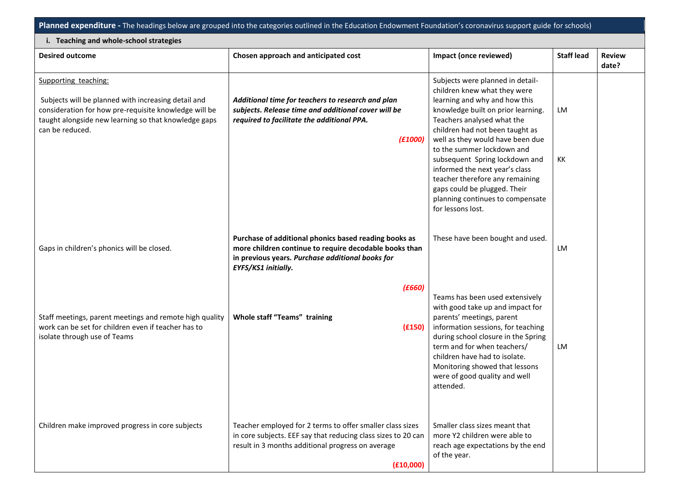**Planned expenditure -** The headings below are grouped into the categories outlined in the Education Endowment Foundation's coronavirus support guide for schools)

| i. Teaching and whole-school strategies                                                                                                                                                                         |                                                                                                                                                                                              |                                                                                                                                                                                                                                                                                                                                                                                                                                                                            |                   |                        |
|-----------------------------------------------------------------------------------------------------------------------------------------------------------------------------------------------------------------|----------------------------------------------------------------------------------------------------------------------------------------------------------------------------------------------|----------------------------------------------------------------------------------------------------------------------------------------------------------------------------------------------------------------------------------------------------------------------------------------------------------------------------------------------------------------------------------------------------------------------------------------------------------------------------|-------------------|------------------------|
| <b>Desired outcome</b>                                                                                                                                                                                          | Chosen approach and anticipated cost                                                                                                                                                         | Impact (once reviewed)                                                                                                                                                                                                                                                                                                                                                                                                                                                     | <b>Staff lead</b> | <b>Review</b><br>date? |
| Supporting teaching:<br>Subjects will be planned with increasing detail and<br>consideration for how pre-requisite knowledge will be<br>taught alongside new learning so that knowledge gaps<br>can be reduced. | Additional time for teachers to research and plan<br>subjects. Release time and additional cover will be<br>required to facilitate the additional PPA.<br>(E1000)                            | Subjects were planned in detail-<br>children knew what they were<br>learning and why and how this<br>knowledge built on prior learning.<br>Teachers analysed what the<br>children had not been taught as<br>well as they would have been due<br>to the summer lockdown and<br>subsequent Spring lockdown and<br>informed the next year's class<br>teacher therefore any remaining<br>gaps could be plugged. Their<br>planning continues to compensate<br>for lessons lost. | LM<br>КK          |                        |
| Gaps in children's phonics will be closed.                                                                                                                                                                      | Purchase of additional phonics based reading books as<br>more children continue to require decodable books than<br>in previous years. Purchase additional books for<br>EYFS/KS1 initially.   | These have been bought and used.                                                                                                                                                                                                                                                                                                                                                                                                                                           | LM                |                        |
| Staff meetings, parent meetings and remote high quality<br>work can be set for children even if teacher has to<br>isolate through use of Teams                                                                  | (E660)<br>Whole staff "Teams" training<br>(E150)                                                                                                                                             | Teams has been used extensively<br>with good take up and impact for<br>parents' meetings, parent<br>information sessions, for teaching<br>during school closure in the Spring<br>term and for when teachers/<br>children have had to isolate.<br>Monitoring showed that lessons<br>were of good quality and well<br>attended.                                                                                                                                              | LM                |                        |
| Children make improved progress in core subjects                                                                                                                                                                | Teacher employed for 2 terms to offer smaller class sizes<br>in core subjects. EEF say that reducing class sizes to 20 can<br>result in 3 months additional progress on average<br>(E10,000) | Smaller class sizes meant that<br>more Y2 children were able to<br>reach age expectations by the end<br>of the year.                                                                                                                                                                                                                                                                                                                                                       |                   |                        |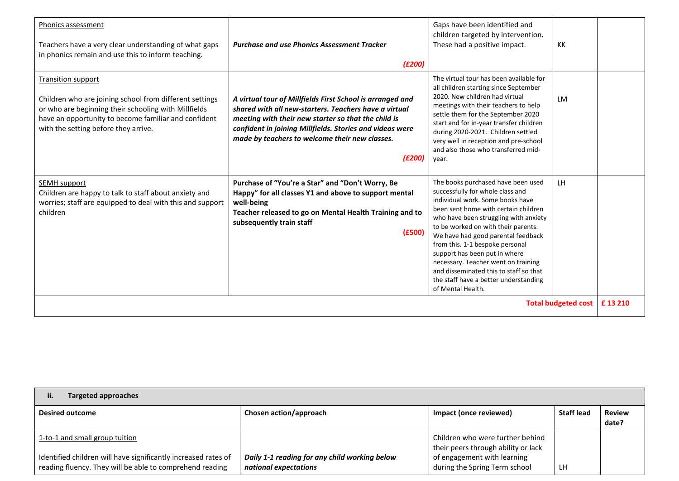| Phonics assessment<br>Teachers have a very clear understanding of what gaps<br>in phonics remain and use this to inform teaching.                                                                                                            | <b>Purchase and use Phonics Assessment Tracker</b><br>(E200)                                                                                                                                                                                                                                      | Gaps have been identified and<br>children targeted by intervention.<br>These had a positive impact.                                                                                                                                                                                                                                                                                                                                                                                         | KK        |        |
|----------------------------------------------------------------------------------------------------------------------------------------------------------------------------------------------------------------------------------------------|---------------------------------------------------------------------------------------------------------------------------------------------------------------------------------------------------------------------------------------------------------------------------------------------------|---------------------------------------------------------------------------------------------------------------------------------------------------------------------------------------------------------------------------------------------------------------------------------------------------------------------------------------------------------------------------------------------------------------------------------------------------------------------------------------------|-----------|--------|
| <b>Transition support</b><br>Children who are joining school from different settings<br>or who are beginning their schooling with Millfields<br>have an opportunity to become familiar and confident<br>with the setting before they arrive. | A virtual tour of Millfields First School is arranged and<br>shared with all new-starters. Teachers have a virtual<br>meeting with their new starter so that the child is<br>confident in joining Millfields. Stories and videos were<br>made by teachers to welcome their new classes.<br>(E200) | The virtual tour has been available for<br>all children starting since September<br>2020. New children had virtual<br>meetings with their teachers to help<br>settle them for the September 2020<br>start and for in-year transfer children<br>during 2020-2021. Children settled<br>very well in reception and pre-school<br>and also those who transferred mid-<br>year.                                                                                                                  | <b>LM</b> |        |
| <b>SEMH</b> support<br>Children are happy to talk to staff about anxiety and<br>worries; staff are equipped to deal with this and support<br>children                                                                                        | Purchase of "You're a Star" and "Don't Worry, Be<br>Happy" for all classes Y1 and above to support mental<br>well-being<br>Teacher released to go on Mental Health Training and to<br>subsequently train staff<br>(E500)                                                                          | The books purchased have been used<br>successfully for whole class and<br>individual work. Some books have<br>been sent home with certain children<br>who have been struggling with anxiety<br>to be worked on with their parents.<br>We have had good parental feedback<br>from this. 1-1 bespoke personal<br>support has been put in where<br>necessary. Teacher went on training<br>and disseminated this to staff so that<br>the staff have a better understanding<br>of Mental Health. | LH        |        |
| <b>Total budgeted cost</b>                                                                                                                                                                                                                   |                                                                                                                                                                                                                                                                                                   |                                                                                                                                                                                                                                                                                                                                                                                                                                                                                             |           | £13210 |

| <b>Targeted approaches</b><br>ii.                                                                                                                            |                                                                        |                                                                                                                                         |                   |                        |
|--------------------------------------------------------------------------------------------------------------------------------------------------------------|------------------------------------------------------------------------|-----------------------------------------------------------------------------------------------------------------------------------------|-------------------|------------------------|
| <b>Desired outcome</b>                                                                                                                                       | Chosen action/approach                                                 | Impact (once reviewed)                                                                                                                  | <b>Staff lead</b> | <b>Review</b><br>date? |
| 1-to-1 and small group tuition<br>Identified children will have significantly increased rates of<br>reading fluency. They will be able to comprehend reading | Daily 1-1 reading for any child working below<br>national expectations | Children who were further behind<br>their peers through ability or lack<br>of engagement with learning<br>during the Spring Term school | LH.               |                        |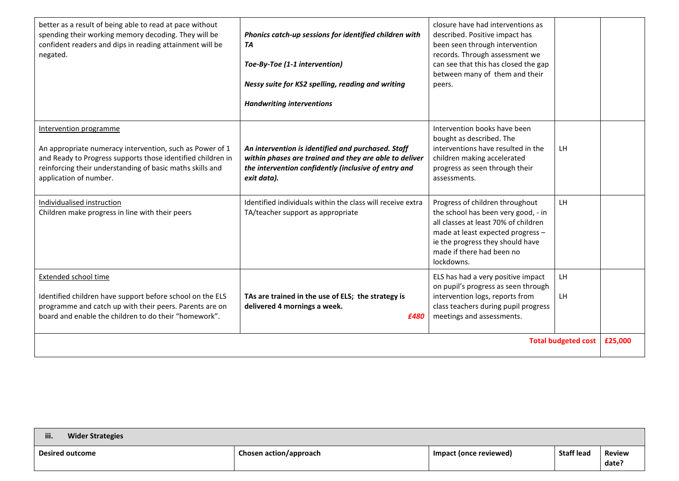| better as a result of being able to read at pace without<br>spending their working memory decoding. They will be<br>confident readers and dips in reading attainment will be<br>negated.                                                 | Phonics catch-up sessions for identified children with<br>TA<br>Toe-By-Toe (1-1 intervention)<br>Nessy suite for KS2 spelling, reading and writing<br><b>Handwriting interventions</b> | closure have had interventions as<br>described. Positive impact has<br>been seen through intervention<br>records. Through assessment we<br>can see that this has closed the gap<br>between many of them and their<br>peers.        |          |         |
|------------------------------------------------------------------------------------------------------------------------------------------------------------------------------------------------------------------------------------------|----------------------------------------------------------------------------------------------------------------------------------------------------------------------------------------|------------------------------------------------------------------------------------------------------------------------------------------------------------------------------------------------------------------------------------|----------|---------|
| Intervention programme<br>An appropriate numeracy intervention, such as Power of 1<br>and Ready to Progress supports those identified children in<br>reinforcing their understanding of basic maths skills and<br>application of number. | An intervention is identified and purchased. Staff<br>within phases are trained and they are able to deliver<br>the intervention confidently (inclusive of entry and<br>exit data).    | Intervention books have been<br>bought as described. The<br>interventions have resulted in the<br>children making accelerated<br>progress as seen through their<br>assessments.                                                    | LH       |         |
| Individualised instruction<br>Children make progress in line with their peers                                                                                                                                                            | Identified individuals within the class will receive extra<br>TA/teacher support as appropriate                                                                                        | Progress of children throughout<br>the school has been very good, - in<br>all classes at least 70% of children<br>made at least expected progress -<br>ie the progress they should have<br>made if there had been no<br>lockdowns. | LH       |         |
| <b>Extended school time</b><br>Identified children have support before school on the ELS<br>programme and catch up with their peers. Parents are on<br>board and enable the children to do their "homework".                             | TAs are trained in the use of ELS; the strategy is<br>delivered 4 mornings a week.<br>£480                                                                                             | ELS has had a very positive impact<br>on pupil's progress as seen through<br>intervention logs, reports from<br>class teachers during pupil progress<br>meetings and assessments.                                                  | LH<br>LH |         |
| <b>Total budgeted cost</b>                                                                                                                                                                                                               |                                                                                                                                                                                        |                                                                                                                                                                                                                                    |          | £25,000 |

| iii.<br><b>Wider Strategies</b> |                        |                        |                   |                        |
|---------------------------------|------------------------|------------------------|-------------------|------------------------|
| <b>Desired outcome</b>          | Chosen action/approach | Impact (once reviewed) | <b>Staff lead</b> | <b>Review</b><br>date? |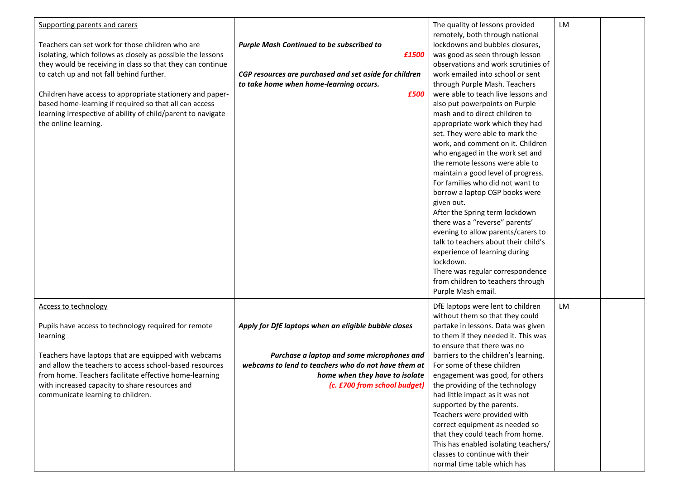| Supporting parents and carers                                |                                                        | The quality of lessons provided      | LM |  |
|--------------------------------------------------------------|--------------------------------------------------------|--------------------------------------|----|--|
|                                                              |                                                        | remotely, both through national      |    |  |
| Teachers can set work for those children who are             | <b>Purple Mash Continued to be subscribed to</b>       | lockdowns and bubbles closures,      |    |  |
| isolating, which follows as closely as possible the lessons  | £1500                                                  | was good as seen through lesson      |    |  |
| they would be receiving in class so that they can continue   |                                                        | observations and work scrutinies of  |    |  |
| to catch up and not fall behind further.                     | CGP resources are purchased and set aside for children | work emailed into school or sent     |    |  |
|                                                              | to take home when home-learning occurs.                | through Purple Mash. Teachers        |    |  |
| Children have access to appropriate stationery and paper-    | £500                                                   | were able to teach live lessons and  |    |  |
| based home-learning if required so that all can access       |                                                        | also put powerpoints on Purple       |    |  |
| learning irrespective of ability of child/parent to navigate |                                                        | mash and to direct children to       |    |  |
| the online learning.                                         |                                                        | appropriate work which they had      |    |  |
|                                                              |                                                        | set. They were able to mark the      |    |  |
|                                                              |                                                        | work, and comment on it. Children    |    |  |
|                                                              |                                                        | who engaged in the work set and      |    |  |
|                                                              |                                                        | the remote lessons were able to      |    |  |
|                                                              |                                                        | maintain a good level of progress.   |    |  |
|                                                              |                                                        | For families who did not want to     |    |  |
|                                                              |                                                        | borrow a laptop CGP books were       |    |  |
|                                                              |                                                        | given out.                           |    |  |
|                                                              |                                                        | After the Spring term lockdown       |    |  |
|                                                              |                                                        | there was a "reverse" parents'       |    |  |
|                                                              |                                                        | evening to allow parents/carers to   |    |  |
|                                                              |                                                        | talk to teachers about their child's |    |  |
|                                                              |                                                        | experience of learning during        |    |  |
|                                                              |                                                        | lockdown.                            |    |  |
|                                                              |                                                        | There was regular correspondence     |    |  |
|                                                              |                                                        | from children to teachers through    |    |  |
|                                                              |                                                        | Purple Mash email.                   |    |  |
| <b>Access to technology</b>                                  |                                                        | DfE laptops were lent to children    | LM |  |
|                                                              |                                                        | without them so that they could      |    |  |
| Pupils have access to technology required for remote         | Apply for DfE laptops when an eligible bubble closes   | partake in lessons. Data was given   |    |  |
| learning                                                     |                                                        | to them if they needed it. This was  |    |  |
|                                                              |                                                        | to ensure that there was no          |    |  |
| Teachers have laptops that are equipped with webcams         | Purchase a laptop and some microphones and             | barriers to the children's learning. |    |  |
| and allow the teachers to access school-based resources      | webcams to lend to teachers who do not have them at    | For some of these children           |    |  |
| from home. Teachers facilitate effective home-learning       | home when they have to isolate                         | engagement was good, for others      |    |  |
| with increased capacity to share resources and               | (c. £700 from school budget)                           | the providing of the technology      |    |  |
| communicate learning to children.                            |                                                        | had little impact as it was not      |    |  |
|                                                              |                                                        | supported by the parents.            |    |  |
|                                                              |                                                        | Teachers were provided with          |    |  |
|                                                              |                                                        | correct equipment as needed so       |    |  |
|                                                              |                                                        | that they could teach from home.     |    |  |
|                                                              |                                                        | This has enabled isolating teachers/ |    |  |
|                                                              |                                                        | classes to continue with their       |    |  |
|                                                              |                                                        | normal time table which has          |    |  |
|                                                              |                                                        |                                      |    |  |